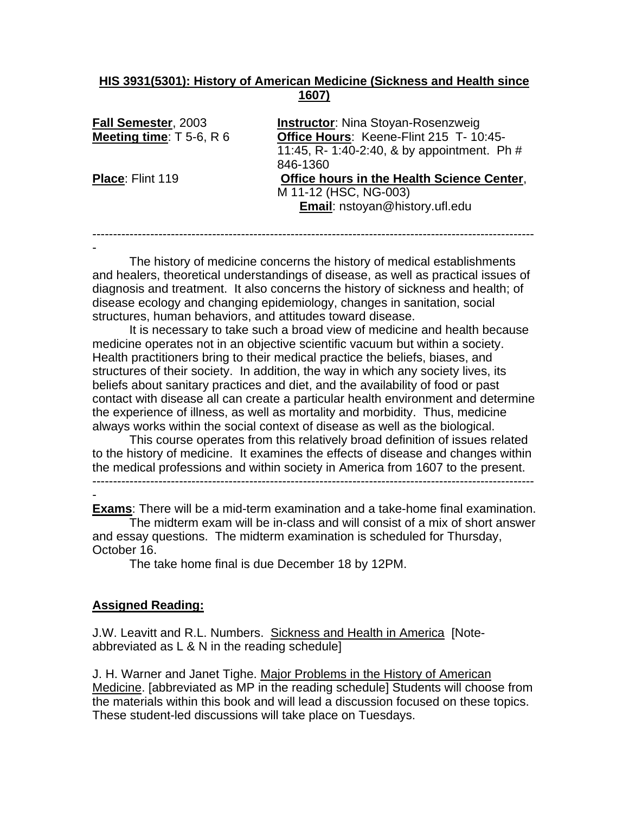### **HIS 3931(5301): History of American Medicine (Sickness and Health since 1607)**

| Fall Semester, 2003        | <b>Instructor:</b> Nina Stoyan-Rosenzweig         |
|----------------------------|---------------------------------------------------|
| Meeting time: $T$ 5-6, R 6 | Office Hours: Keene-Flint 215 T- 10:45-           |
|                            | 11:45, R- 1:40-2:40, & by appointment. Ph #       |
|                            | 846-1360                                          |
| <b>Place: Flint 119</b>    | <b>Office hours in the Health Science Center,</b> |
|                            | M 11-12 (HSC, NG-003)                             |
|                            | Email: nstoyan@history.ufl.edu                    |
|                            |                                                   |

 The history of medicine concerns the history of medical establishments and healers, theoretical understandings of disease, as well as practical issues of diagnosis and treatment. It also concerns the history of sickness and health; of disease ecology and changing epidemiology, changes in sanitation, social structures, human behaviors, and attitudes toward disease.

-----------------------------------------------------------------------------------------------------------

It is necessary to take such a broad view of medicine and health because medicine operates not in an objective scientific vacuum but within a society. Health practitioners bring to their medical practice the beliefs, biases, and structures of their society. In addition, the way in which any society lives, its beliefs about sanitary practices and diet, and the availability of food or past contact with disease all can create a particular health environment and determine the experience of illness, as well as mortality and morbidity. Thus, medicine always works within the social context of disease as well as the biological.

 This course operates from this relatively broad definition of issues related to the history of medicine. It examines the effects of disease and changes within the medical professions and within society in America from 1607 to the present.

-----------------------------------------------------------------------------------------------------------

- **Exams**: There will be a mid-term examination and a take-home final examination. The midterm exam will be in-class and will consist of a mix of short answer and essay questions. The midterm examination is scheduled for Thursday,

October 16.

-

The take home final is due December 18 by 12PM.

### **Assigned Reading:**

J.W. Leavitt and R.L. Numbers. Sickness and Health in America [Noteabbreviated as L & N in the reading schedule]

J. H. Warner and Janet Tighe. Major Problems in the History of American Medicine. [abbreviated as MP in the reading schedule] Students will choose from the materials within this book and will lead a discussion focused on these topics. These student-led discussions will take place on Tuesdays.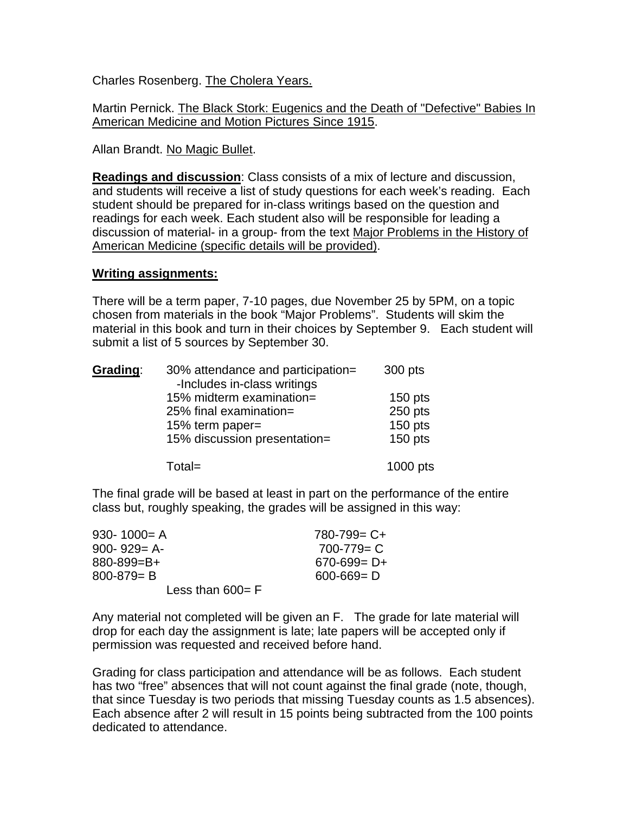Charles Rosenberg. The Cholera Years.

Martin Pernick. The Black Stork: Eugenics and the Death of "Defective" Babies In American Medicine and Motion Pictures Since 1915.

Allan Brandt. No Magic Bullet.

**Readings and discussion**: Class consists of a mix of lecture and discussion, and students will receive a list of study questions for each week's reading. Each student should be prepared for in-class writings based on the question and readings for each week. Each student also will be responsible for leading a discussion of material- in a group- from the text Major Problems in the History of American Medicine (specific details will be provided).

### **Writing assignments:**

There will be a term paper, 7-10 pages, due November 25 by 5PM, on a topic chosen from materials in the book "Major Problems". Students will skim the material in this book and turn in their choices by September 9. Each student will submit a list of 5 sources by September 30.

| Grading: | 30% attendance and participation=<br>-Includes in-class writings | 300 pts   |
|----------|------------------------------------------------------------------|-----------|
|          | 15% midterm examination=                                         | $150$ pts |
|          | 25% final examination=                                           | 250 pts   |
|          | 15% term paper=                                                  | $150$ pts |
|          | 15% discussion presentation=                                     | $150$ pts |
|          | $Total =$                                                        | 1000 pts  |

The final grade will be based at least in part on the performance of the entire class but, roughly speaking, the grades will be assigned in this way:

| $930 - 1000 = A$    | $780 - 799 = C +$ |
|---------------------|-------------------|
| $900 - 929 = A -$   | $700 - 779 = C$   |
| 880-899=B+          | $670 - 699 = D +$ |
| $800 - 879 = B$     | $600 - 669 = D$   |
| Less than $600 = F$ |                   |

Any material not completed will be given an F. The grade for late material will drop for each day the assignment is late; late papers will be accepted only if permission was requested and received before hand.

Grading for class participation and attendance will be as follows. Each student has two "free" absences that will not count against the final grade (note, though, that since Tuesday is two periods that missing Tuesday counts as 1.5 absences). Each absence after 2 will result in 15 points being subtracted from the 100 points dedicated to attendance.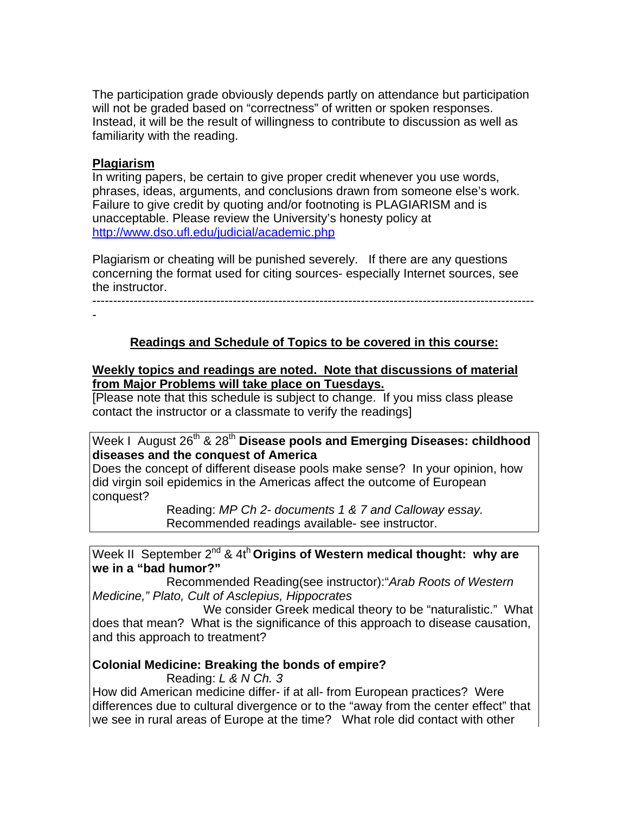The participation grade obviously depends partly on attendance but participation will not be graded based on "correctness" of written or spoken responses. Instead, it will be the result of willingness to contribute to discussion as well as familiarity with the reading.

#### **Plagiarism**

In writing papers, be certain to give proper credit whenever you use words, phrases, ideas, arguments, and conclusions drawn from someone else's work. Failure to give credit by quoting and/or footnoting is PLAGIARISM and is unacceptable. Please review the University's honesty policy at http://www.dso.ufl.edu/judicial/academic.php

Plagiarism or cheating will be punished severely. If there are any questions concerning the format used for citing sources- especially Internet sources, see the instructor.

-----------------------------------------------------------------------------------------------------------

-

## **Readings and Schedule of Topics to be covered in this course:**

#### **Weekly topics and readings are noted. Note that discussions of material from Major Problems will take place on Tuesdays.**

[Please note that this schedule is subject to change. If you miss class please contact the instructor or a classmate to verify the readings]

## Week I August 26<sup>th</sup> & 28<sup>th</sup> Disease pools and Emerging Diseases: childhood **diseases and the conquest of America**

Does the concept of different disease pools make sense? In your opinion, how did virgin soil epidemics in the Americas affect the outcome of European conquest?

> Reading: *MP Ch 2- documents 1 & 7 and Calloway essay.*  Recommended readings available- see instructor.

### Week II September 2<sup>nd</sup> & 4t<sup>h</sup> Origins of Western medical thought: why are **we in a "bad humor?"**

 Recommended Reading(see instructor):"*Arab Roots of Western Medicine," Plato, Cult of Asclepius, Hippocrates* 

 We consider Greek medical theory to be "naturalistic." What does that mean? What is the significance of this approach to disease causation, and this approach to treatment?

### **Colonial Medicine: Breaking the bonds of empire?**

Reading: *L & N Ch. 3* 

How did American medicine differ- if at all- from European practices? Were differences due to cultural divergence or to the "away from the center effect" that we see in rural areas of Europe at the time? What role did contact with other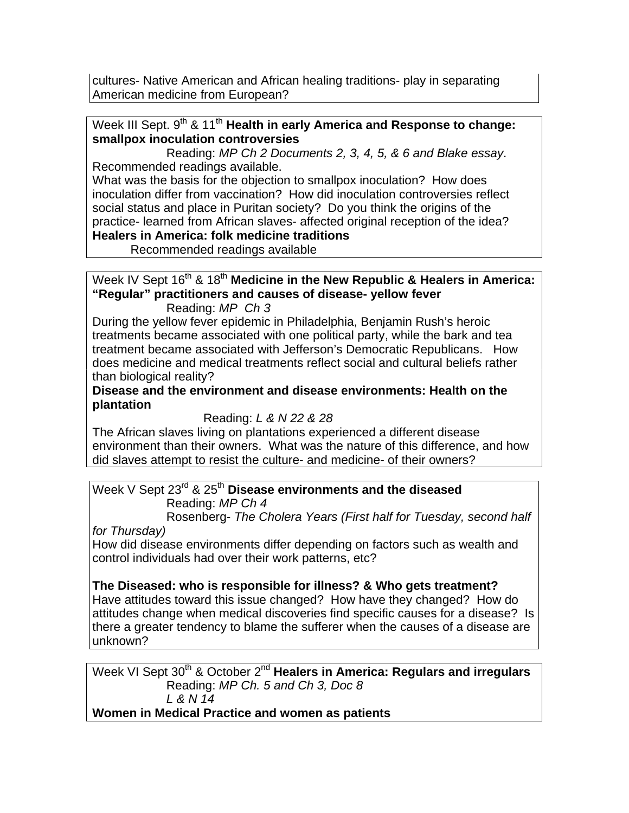cultures- Native American and African healing traditions- play in separating American medicine from European?

## Week III Sept. 9<sup>th</sup> & 11<sup>th</sup> **Health in early America and Response to change: smallpox inoculation controversies**

 Reading: *MP Ch 2 Documents 2, 3, 4, 5, & 6 and Blake essay*. Recommended readings available.

What was the basis for the objection to smallpox inoculation? How does inoculation differ from vaccination? How did inoculation controversies reflect social status and place in Puritan society? Do you think the origins of the practice- learned from African slaves- affected original reception of the idea?

## **Healers in America: folk medicine traditions**

Recommended readings available

## Week IV Sept 16<sup>th</sup> & 18<sup>th</sup> Medicine in the New Republic & Healers in America: **"Regular" practitioners and causes of disease- yellow fever**

Reading: *MP Ch 3*

During the yellow fever epidemic in Philadelphia, Benjamin Rush's heroic treatments became associated with one political party, while the bark and tea treatment became associated with Jefferson's Democratic Republicans. How does medicine and medical treatments reflect social and cultural beliefs rather than biological reality?

**Disease and the environment and disease environments: Health on the plantation** 

## Reading: *L & N 22 & 28*

The African slaves living on plantations experienced a different disease environment than their owners. What was the nature of this difference, and how did slaves attempt to resist the culture- and medicine- of their owners?

# Week V Sept 23rd & 25th **Disease environments and the diseased**  Reading: *MP Ch 4*

 Rosenberg- *The Cholera Years (First half for Tuesday, second half for Thursday)* 

How did disease environments differ depending on factors such as wealth and control individuals had over their work patterns, etc?

## **The Diseased: who is responsible for illness? & Who gets treatment?**

Have attitudes toward this issue changed? How have they changed? How do attitudes change when medical discoveries find specific causes for a disease? Is there a greater tendency to blame the sufferer when the causes of a disease are unknown?

Week VI Sept 30<sup>th</sup> & October 2<sup>nd</sup> Healers in America: Regulars and irregulars Reading: *MP Ch. 5 and Ch 3, Doc 8 L & N 14*  **Women in Medical Practice and women as patients**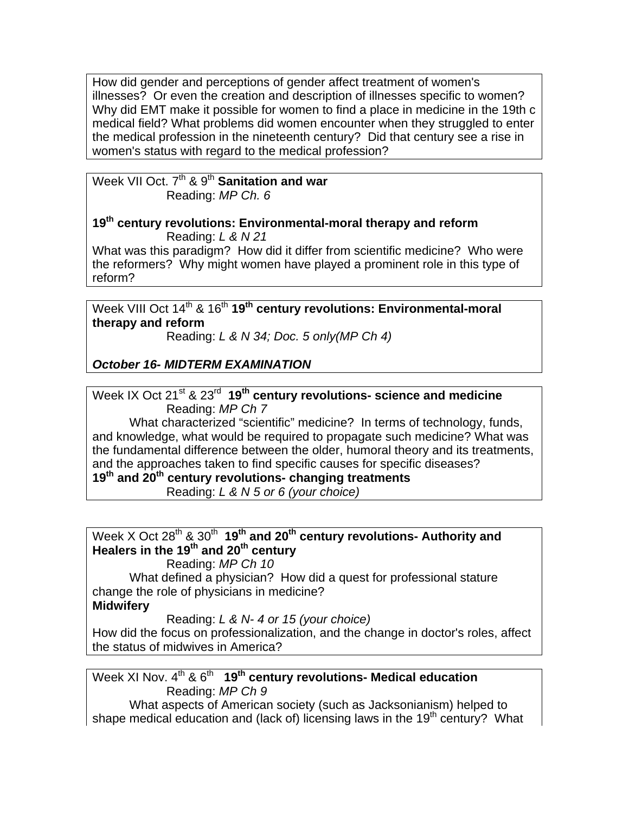How did gender and perceptions of gender affect treatment of women's illnesses? Or even the creation and description of illnesses specific to women? Why did EMT make it possible for women to find a place in medicine in the 19th c medical field? What problems did women encounter when they struggled to enter the medical profession in the nineteenth century? Did that century see a rise in women's status with regard to the medical profession?

Week VII Oct. 7<sup>th</sup> & 9<sup>th</sup> Sanitation and war Reading: *MP Ch. 6*

#### **19th century revolutions: Environmental-moral therapy and reform** Reading: *L & N 21*

What was this paradigm? How did it differ from scientific medicine? Who were the reformers? Why might women have played a prominent role in this type of reform?

Week VIII Oct 14<sup>th</sup> & 16<sup>th</sup> 19<sup>th</sup> century revolutions: Environmental-moral **therapy and reform**

Reading: *L & N 34; Doc. 5 only(MP Ch 4)* 

*October 16- MIDTERM EXAMINATION* 

Week IX Oct 21<sup>st</sup> & 23<sup>rd</sup> 19<sup>th</sup> century revolutions- science and medicine Reading: *MP Ch 7*

 What characterized "scientific" medicine? In terms of technology, funds, and knowledge, what would be required to propagate such medicine? What was the fundamental difference between the older, humoral theory and its treatments, and the approaches taken to find specific causes for specific diseases?

**19th and 20th century revolutions- changing treatments** 

Reading: *L & N 5 or 6 (your choice)* 

# Week X Oct 28<sup>th</sup> & 30<sup>th</sup> 19<sup>th</sup> and 20<sup>th</sup> century revolutions- Authority and **Healers in the 19th and 20th century**

Reading: *MP Ch 10*

 What defined a physician? How did a quest for professional stature change the role of physicians in medicine? **Midwifery** 

Reading: *L & N- 4 or 15 (your choice)* 

How did the focus on professionalization, and the change in doctor's roles, affect the status of midwives in America?

Week XI Nov. 4<sup>th</sup> & 6<sup>th</sup> 19<sup>th</sup> century revolutions- Medical education Reading: *MP Ch 9*

 What aspects of American society (such as Jacksonianism) helped to shape medical education and (lack of) licensing laws in the  $19<sup>th</sup>$  century? What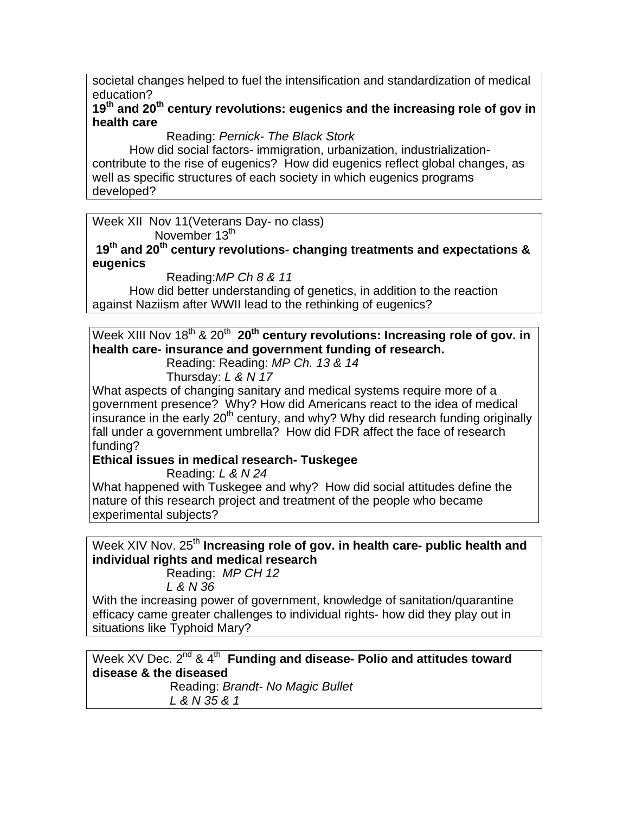societal changes helped to fuel the intensification and standardization of medical education?

## **19th and 20th century revolutions: eugenics and the increasing role of gov in health care**

Reading: *Pernick- The Black Stork* 

How did social factors- immigration, urbanization, industrializationcontribute to the rise of eugenics? How did eugenics reflect global changes, as well as specific structures of each society in which eugenics programs developed?

Week XII Nov 11(Veterans Day- no class) November 13<sup>th</sup>

**19th and 20th century revolutions- changing treatments and expectations & eugenics** 

Reading:*MP Ch 8 & 11* 

How did better understanding of genetics, in addition to the reaction against Naziism after WWII lead to the rethinking of eugenics?

Week XIII Nov 18<sup>th</sup> & 20<sup>th</sup> 20<sup>th</sup> century revolutions: Increasing role of gov. in **health care- insurance and government funding of research.** 

Reading: Reading: *MP Ch. 13 & 14*

Thursday: *L & N 17* 

What aspects of changing sanitary and medical systems require more of a government presence? Why? How did Americans react to the idea of medical insurance in the early  $20<sup>th</sup>$  century, and why? Why did research funding originally fall under a government umbrella? How did FDR affect the face of research funding?

**Ethical issues in medical research- Tuskegee** 

Reading: *L & N 24* 

What happened with Tuskegee and why? How did social attitudes define the nature of this research project and treatment of the people who became experimental subjects?

Week XIV Nov. 25<sup>th</sup> Increasing role of gov. in health care- public health and **individual rights and medical research**

Reading: *MP CH 12* 

 *L & N 36* 

With the increasing power of government, knowledge of sanitation/quarantine efficacy came greater challenges to individual rights- how did they play out in situations like Typhoid Mary?

Week XV Dec. 2<sup>nd</sup> & 4<sup>th</sup> **Funding and disease- Polio and attitudes toward disease & the diseased** Reading: *Brandt- No Magic Bullet L & N 35 & 1*